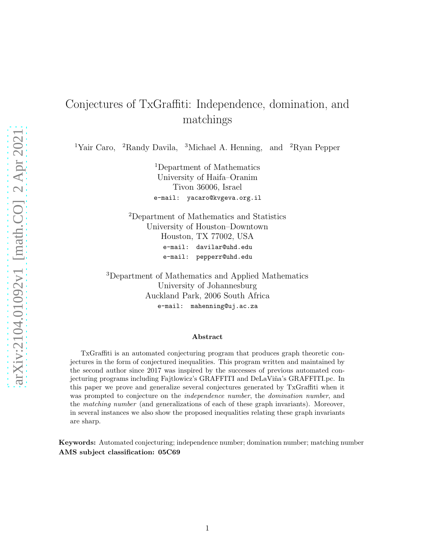# Conjectures of TxGraffiti: Independence, domination, and matchings

<sup>1</sup>Yair Caro, <sup>2</sup>Randy Davila, <sup>3</sup>Michael A. Henning, and <sup>2</sup>Ryan Pepper

<sup>1</sup>Department of Mathematics University of Haifa–Oranim Tivon 36006, Israel e-mail: yacaro@kvgeva.org.il

<sup>2</sup>Department of Mathematics and Statistics University of Houston–Downtown Houston, TX 77002, USA e-mail: davilar@uhd.edu e-mail: pepperr@uhd.edu

<sup>3</sup>Department of Mathematics and Applied Mathematics University of Johannesburg Auckland Park, 2006 South Africa e-mail: mahenning@uj.ac.za

#### Abstract

TxGraffiti is an automated conjecturing program that produces graph theoretic conjectures in the form of conjectured inequalities. This program written and maintained by the second author since 2017 was inspired by the successes of previous automated conjecturing programs including Fajtlowicz's GRAFFITI and DeLaViña's GRAFFITI.pc. In this paper we prove and generalize several conjectures generated by TxGraffiti when it was prompted to conjecture on the *independence number*, the *domination number*, and the matching number (and generalizations of each of these graph invariants). Moreover, in several instances we also show the proposed inequalities relating these graph invariants are sharp.

Keywords: Automated conjecturing; independence number; domination number; matching number AMS subject classification: 05C69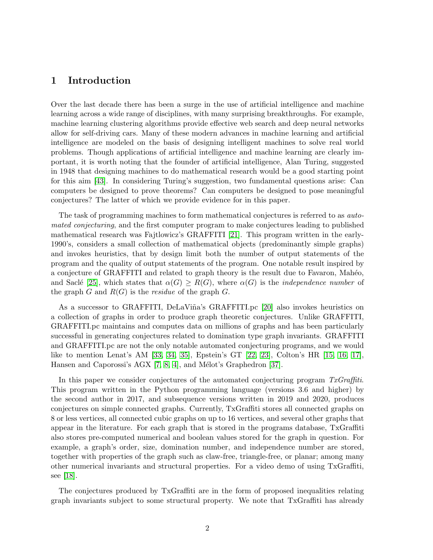### 1 Introduction

Over the last decade there has been a surge in the use of artificial intelligence and machine learning across a wide range of disciplines, with many surprising breakthroughs. For example, machine learning clustering algorithms provide effective web search and deep neural networks allow for self-driving cars. Many of these modern advances in machine learning and artificial intelligence are modeled on the basis of designing intelligent machines to solve real world problems. Though applications of artificial intelligence and machine learning are clearly important, it is worth noting that the founder of artificial intelligence, Alan Turing, suggested in 1948 that designing machines to do mathematical research would be a good starting point for this aim [\[43\]](#page-15-0). In considering Turing's suggestion, two fundamental questions arise: Can computers be designed to prove theorems? Can computers be designed to pose meaningful conjectures? The latter of which we provide evidence for in this paper.

The task of programming machines to form mathematical conjectures is referred to as automated conjecturing, and the first computer program to make conjectures leading to published mathematical research was Fajtlowicz's GRAFFITI [\[21\]](#page-14-0). This program written in the early-1990's, considers a small collection of mathematical objects (predominantly simple graphs) and invokes heuristics, that by design limit both the number of output statements of the program and the quality of output statements of the program. One notable result inspired by a conjecture of GRAFFITI and related to graph theory is the result due to Favaron, Mahéo, and Saclé [\[25\]](#page-14-1), which states that  $\alpha(G) \geq R(G)$ , where  $\alpha(G)$  is the *independence number* of the graph  $G$  and  $R(G)$  is the *residue* of the graph  $G$ .

As a successor to GRAFFITI, DeLaViña's GRAFFITI.pc [\[20\]](#page-14-2) also invokes heuristics on a collection of graphs in order to produce graph theoretic conjectures. Unlike GRAFFITI, GRAFFITI.pc maintains and computes data on millions of graphs and has been particularly successful in generating conjectures related to domination type graph invariants. GRAFFITI and GRAFFITI.pc are not the only notable automated conjecturing programs, and we would like to mention Lenat's AM [\[33,](#page-14-3) [34,](#page-15-1) [35\]](#page-15-2), Epstein's GT [\[22,](#page-14-4) [23\]](#page-14-5), Colton's HR [\[15,](#page-13-0) [16,](#page-13-1) [17\]](#page-14-6), Hansen and Caporossi's AGX  $[7, 8, 4]$  $[7, 8, 4]$  $[7, 8, 4]$ , and Mélot's Graphedron  $[37]$ .

In this paper we consider conjectures of the automated conjecturing program  $TxGraffiti$ . This program written in the Python programming language (versions 3.6 and higher) by the second author in 2017, and subsequence versions written in 2019 and 2020, produces conjectures on simple connected graphs. Currently, TxGraffiti stores all connected graphs on 8 or less vertices, all connected cubic graphs on up to 16 vertices, and several other graphs that appear in the literature. For each graph that is stored in the programs database, TxGraffiti also stores pre-computed numerical and boolean values stored for the graph in question. For example, a graph's order, size, domination number, and independence number are stored, together with properties of the graph such as claw-free, triangle-free, or planar; among many other numerical invariants and structural properties. For a video demo of using TxGraffiti, see [\[18\]](#page-14-7).

The conjectures produced by TxGraffiti are in the form of proposed inequalities relating graph invariants subject to some structural property. We note that TxGraffiti has already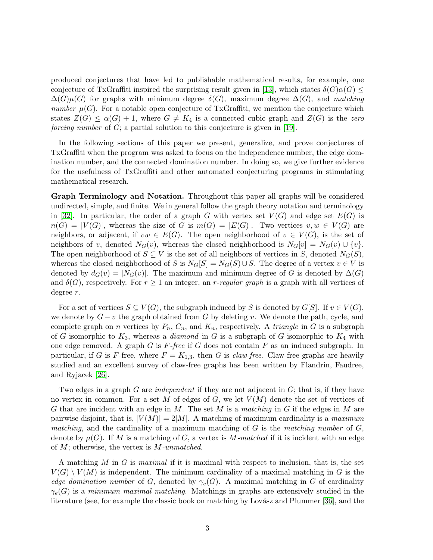produced conjectures that have led to publishable mathematical results, for example, one conjecture of TxGraffiti inspired the surprising result given in [\[13\]](#page-13-5), which states  $\delta(G)\alpha(G) \leq$  $\Delta(G)\mu(G)$  for graphs with minimum degree  $\delta(G)$ , maximum degree  $\Delta(G)$ , and matching number  $\mu(G)$ . For a notable open conjecture of TxGraffiti, we mention the conjecture which states  $Z(G) \leq \alpha(G) + 1$ , where  $G \neq K_4$  is a connected cubic graph and  $Z(G)$  is the zero forcing number of  $G$ ; a partial solution to this conjecture is given in [\[19\]](#page-14-8).

In the following sections of this paper we present, generalize, and prove conjectures of TxGraffiti when the program was asked to focus on the independence number, the edge domination number, and the connected domination number. In doing so, we give further evidence for the usefulness of TxGraffiti and other automated conjecturing programs in stimulating mathematical research.

Graph Terminology and Notation. Throughout this paper all graphs will be considered undirected, simple, and finite. We in general follow the graph theory notation and terminology in [\[32\]](#page-14-9). In particular, the order of a graph G with vertex set  $V(G)$  and edge set  $E(G)$  is  $n(G) = |V(G)|$ , whereas the size of G is  $m(G) = |E(G)|$ . Two vertices  $v, w \in V(G)$  are neighbors, or adjacent, if  $vw \in E(G)$ . The open neighborhood of  $v \in V(G)$ , is the set of neighbors of v, denoted  $N_G(v)$ , whereas the closed neighborhood is  $N_G[v] = N_G(v) \cup \{v\}.$ The open neighborhood of  $S \subseteq V$  is the set of all neighbors of vertices in S, denoted  $N_G(S)$ , whereas the closed neighborhood of S is  $N_G[S] = N_G(S) \cup S$ . The degree of a vertex  $v \in V$  is denoted by  $d_G(v) = |N_G(v)|$ . The maximum and minimum degree of G is denoted by  $\Delta(G)$ and  $\delta(G)$ , respectively. For  $r \geq 1$  an integer, an *r-regular graph* is a graph with all vertices of degree r.

For a set of vertices  $S \subseteq V(G)$ , the subgraph induced by S is denoted by  $G[S]$ . If  $v \in V(G)$ , we denote by  $G - v$  the graph obtained from G by deleting v. We denote the path, cycle, and complete graph on n vertices by  $P_n$ ,  $C_n$ , and  $K_n$ , respectively. A *triangle* in G is a subgraph of G isomorphic to  $K_3$ , whereas a *diamond* in G is a subgraph of G isomorphic to  $K_4$  with one edge removed. A graph  $G$  is  $F$ -free if  $G$  does not contain  $F$  as an induced subgraph. In particular, if G is F-free, where  $F = K_{1,3}$ , then G is claw-free. Claw-free graphs are heavily studied and an excellent survey of claw-free graphs has been written by Flandrin, Faudree, and Ryjacek [\[26\]](#page-14-10).

Two edges in a graph G are *independent* if they are not adjacent in G; that is, if they have no vertex in common. For a set M of edges of G, we let  $V(M)$  denote the set of vertices of G that are incident with an edge in M. The set M is a matching in G if the edges in M are pairwise disjoint, that is,  $|V(M)| = 2|M|$ . A matching of maximum cardinality is a maximum matching, and the cardinality of a maximum matching of  $G$  is the matching number of  $G$ , denote by  $\mu(G)$ . If M is a matching of G, a vertex is M-matched if it is incident with an edge of  $M$ ; otherwise, the vertex is  $M$ -unmatched.

A matching M in G is maximal if it is maximal with respect to inclusion, that is, the set  $V(G) \setminus V(M)$  is independent. The minimum cardinality of a maximal matching in G is the edge domination number of G, denoted by  $\gamma_e(G)$ . A maximal matching in G of cardinality  $\gamma_e(G)$  is a minimum maximal matching. Matchings in graphs are extensively studied in the literature (see, for example the classic book on matching by Lovász and Plummer [\[36\]](#page-15-4), and the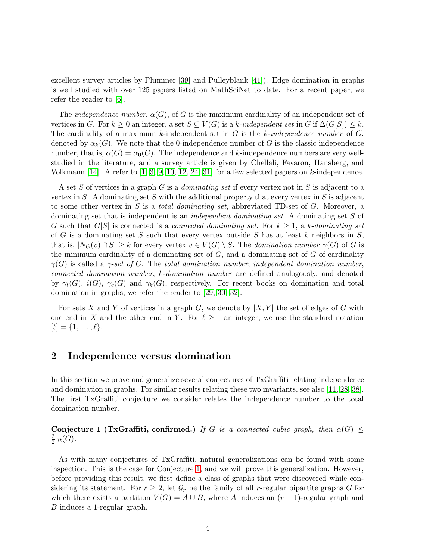excellent survey articles by Plummer [\[39\]](#page-15-5) and Pulleyblank [\[41\]](#page-15-6)). Edge domination in graphs is well studied with over 125 papers listed on MathSciNet to date. For a recent paper, we refer the reader to [\[6\]](#page-13-6).

The *independence number*,  $\alpha(G)$ , of G is the maximum cardinality of an independent set of vertices in G. For  $k \geq 0$  an integer, a set  $S \subseteq V(G)$  is a k-independent set in G if  $\Delta(G[S]) \leq k$ . The cardinality of a maximum k-independent set in  $G$  is the k-independence number of  $G$ , denoted by  $\alpha_k(G)$ . We note that the 0-independence number of G is the classic independence number, that is,  $\alpha(G) = \alpha_0(G)$ . The independence and k-independence numbers are very wellstudied in the literature, and a survey article is given by Chellali, Favaron, Hansberg, and Volkmann [\[14\]](#page-13-7). A refer to  $\left[1, 3, 9, 10, 12, 24, 31\right]$  $\left[1, 3, 9, 10, 12, 24, 31\right]$  $\left[1, 3, 9, 10, 12, 24, 31\right]$  $\left[1, 3, 9, 10, 12, 24, 31\right]$  $\left[1, 3, 9, 10, 12, 24, 31\right]$  $\left[1, 3, 9, 10, 12, 24, 31\right]$  $\left[1, 3, 9, 10, 12, 24, 31\right]$  for a few selected papers on k-independence.

A set S of vertices in a graph G is a *dominating set* if every vertex not in S is adjacent to a vertex in S. A dominating set S with the additional property that every vertex in S is adjacent to some other vertex in S is a *total dominating set*, abbreviated TD-set of  $G$ . Moreover, a dominating set that is independent is an *independent dominating set*. A dominating set S of G such that  $G[S]$  is connected is a *connected dominating set*. For  $k \geq 1$ , a k-dominating set of G is a dominating set S such that every vertex outside S has at least k neighbors in  $S$ , that is,  $|N_G(v) \cap S| \geq k$  for every vertex  $v \in V(G) \setminus S$ . The domination number  $\gamma(G)$  of G is the minimum cardinality of a dominating set of  $G$ , and a dominating set of  $G$  of cardinality  $\gamma(G)$  is called a  $\gamma$ -set of G. The total domination number, independent domination number, connected domination number, k-domination number are defined analogously, and denoted by  $\gamma_t(G)$ ,  $i(G)$ ,  $\gamma_c(G)$  and  $\gamma_k(G)$ , respectively. For recent books on domination and total domination in graphs, we refer the reader to [\[29,](#page-14-13) [30,](#page-14-14) [32\]](#page-14-9).

For sets X and Y of vertices in a graph G, we denote by  $[X, Y]$  the set of edges of G with one end in X and the other end in Y. For  $\ell \geq 1$  an integer, we use the standard notation  $[\ell] = \{1, \ldots, \ell\}.$ 

#### 2 Independence versus domination

In this section we prove and generalize several conjectures of TxGraffiti relating independence and domination in graphs. For similar results relating these two invariants, see also [\[11,](#page-13-13) [28,](#page-14-15) [38\]](#page-15-7). The first TxGraffiti conjecture we consider relates the independence number to the total domination number.

<span id="page-3-0"></span>Conjecture 1 (TxGraffiti, confirmed.) If G is a connected cubic graph, then  $\alpha(G) \leq$ 3  $\frac{3}{2}\gamma_t(G)$ .

As with many conjectures of TxGraffiti, natural generalizations can be found with some inspection. This is the case for Conjecture [1,](#page-3-0) and we will prove this generalization. However, before providing this result, we first define a class of graphs that were discovered while considering its statement. For  $r \geq 2$ , let  $\mathcal{G}_r$  be the family of all r-regular bipartite graphs G for which there exists a partition  $V(G) = A \cup B$ , where A induces an  $(r-1)$ -regular graph and B induces a 1-regular graph.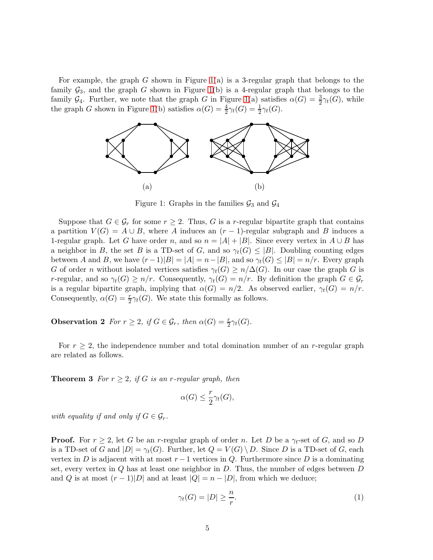<span id="page-4-0"></span>For example, the graph G shown in Figure [1\(](#page-4-0)a) is a 3-regular graph that belongs to the family  $\mathcal{G}_3$ , and the graph G shown in Figure [1\(](#page-4-0)b) is a 4-regular graph that belongs to the family  $\mathcal{G}_4$ . Further, we note that the graph G in Figure [1\(](#page-4-0)a) satisfies  $\alpha(G) = \frac{3}{2}\gamma_t(G)$ , while the graph G shown in Figure [1\(](#page-4-0)b) satisfies  $\alpha(G) = \frac{4}{2}\gamma_t(G) = \frac{1}{2}\gamma_t(G)$ .



Figure 1: Graphs in the families  $\mathcal{G}_3$  and  $\mathcal{G}_4$ 

Suppose that  $G \in \mathcal{G}_r$  for some  $r \geq 2$ . Thus, G is a r-regular bipartite graph that contains a partition  $V(G) = A \cup B$ , where A induces an  $(r-1)$ -regular subgraph and B induces a 1-regular graph. Let G have order n, and so  $n = |A| + |B|$ . Since every vertex in  $A \cup B$  has a neighbor in B, the set B is a TD-set of G, and so  $\gamma_t(G) \leq |B|$ . Doubling counting edges between A and B, we have  $(r-1)|B|=|A|=n-|B|$ , and so  $\gamma_t(G)\leq |B|=n/r$ . Every graph G of order n without isolated vertices satisfies  $\gamma_t(G) \geq n/\Delta(G)$ . In our case the graph G is r-regular, and so  $\gamma_t(G) \geq n/r$ . Consequently,  $\gamma_t(G) = n/r$ . By definition the graph  $G \in \mathcal{G}_r$ is a regular bipartite graph, implying that  $\alpha(G) = n/2$ . As observed earlier,  $\gamma_t(G) = n/r$ . Consequently,  $\alpha(G) = \frac{r}{2}\gamma_t(G)$ . We state this formally as follows.

<span id="page-4-2"></span>**Observation 2** For  $r \geq 2$ , if  $G \in \mathcal{G}_r$ , then  $\alpha(G) = \frac{r}{2}\gamma_t(G)$ .

For  $r \geq 2$ , the independence number and total domination number of an r-regular graph are related as follows.

**Theorem 3** For  $r \geq 2$ , if G is an r-regular graph, then

$$
\alpha(G) \le \frac{r}{2}\gamma_t(G),
$$

with equality if and only if  $G \in \mathcal{G}_r$ .

**Proof.** For  $r \geq 2$ , let G be an r-regular graph of order n. Let D be a  $\gamma_t$ -set of G, and so D is a TD-set of G and  $|D| = \gamma_t(G)$ . Further, let  $Q = V(G) \setminus D$ . Since D is a TD-set of G, each vertex in D is adjacent with at most  $r-1$  vertices in Q. Furthermore since D is a dominating set, every vertex in  $Q$  has at least one neighbor in  $D$ . Thus, the number of edges between  $D$ and Q is at most  $(r-1)|D|$  and at least  $|Q| = n - |D|$ , from which we deduce;

<span id="page-4-1"></span>
$$
\gamma_t(G) = |D| \ge \frac{n}{r}.\tag{1}
$$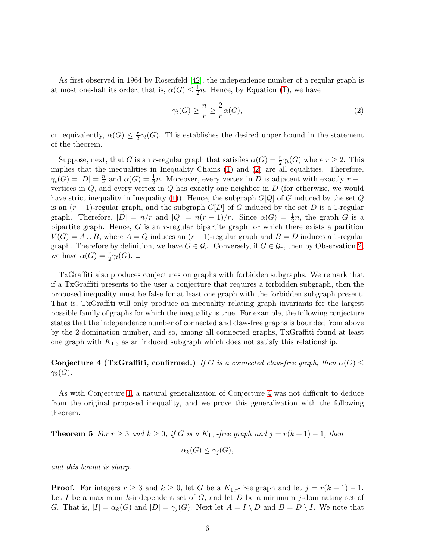As first observed in 1964 by Rosenfeld [\[42\]](#page-15-8), the independence number of a regular graph is at most one-half its order, that is,  $\alpha(G) \leq \frac{1}{2}$  $\frac{1}{2}n$ . Hence, by Equation [\(1\)](#page-4-1), we have

<span id="page-5-0"></span>
$$
\gamma_t(G) \ge \frac{n}{r} \ge \frac{2}{r} \alpha(G),\tag{2}
$$

or, equivalently,  $\alpha(G) \leq \frac{r}{2}$  $\frac{r}{2}\gamma_t(G)$ . This establishes the desired upper bound in the statement of the theorem.

Suppose, next, that G is an r-regular graph that satisfies  $\alpha(G) = \frac{r}{2}\gamma_t(G)$  where  $r \geq 2$ . This implies that the inequalities in Inequality Chains [\(1\)](#page-4-1) and [\(2\)](#page-5-0) are all equalities. Therefore,  $\gamma_t(G) = |D| = \frac{n}{r}$  $\frac{n}{r}$  and  $\alpha(G) = \frac{1}{2}n$ . Moreover, every vertex in D is adjacent with exactly  $r - 1$ vertices in  $Q$ , and every vertex in  $Q$  has exactly one neighbor in  $D$  (for otherwise, we would have strict inequality in Inequality [\(1\)](#page-4-1)). Hence, the subgraph  $G[Q]$  of G induced by the set Q is an  $(r-1)$ -regular graph, and the subgraph  $G[D]$  of G induced by the set D is a 1-regular graph. Therefore,  $|D| = n/r$  and  $|Q| = n(r-1)/r$ . Since  $\alpha(G) = \frac{1}{2}n$ , the graph G is a bipartite graph. Hence,  $G$  is an  $r$ -regular bipartite graph for which there exists a partition  $V(G) = A \cup B$ , where  $A = Q$  induces an  $(r-1)$ -regular graph and  $B = D$  induces a 1-regular graph. Therefore by definition, we have  $G \in \mathcal{G}_r$ . Conversely, if  $G \in \mathcal{G}_r$ , then by Observation [2,](#page-4-2) we have  $\alpha(G) = \frac{r}{2}\gamma_t(G)$ .  $\Box$ 

TxGraffiti also produces conjectures on graphs with forbidden subgraphs. We remark that if a TxGraffiti presents to the user a conjecture that requires a forbidden subgraph, then the proposed inequality must be false for at least one graph with the forbidden subgraph present. That is, TxGraffiti will only produce an inequality relating graph invariants for the largest possible family of graphs for which the inequality is true. For example, the following conjecture states that the independence number of connected and claw-free graphs is bounded from above by the 2-domination number, and so, among all connected graphs, TxGraffiti found at least one graph with  $K_{1,3}$  as an induced subgraph which does not satisfy this relationship.

Conjecture 4 (TxGraffiti, confirmed.) If G is a connected claw-free graph, then  $\alpha(G) \leq$  $\gamma_2(G)$ .

<span id="page-5-2"></span>As with Conjecture [1,](#page-3-0) a natural generalization of Conjecture [4](#page-5-1) was not difficult to deduce from the original proposed inequality, and we prove this generalization with the following theorem.

**Theorem 5** For  $r \geq 3$  and  $k \geq 0$ , if G is a  $K_{1,r}$ -free graph and  $j = r(k+1) - 1$ , then

<span id="page-5-1"></span>
$$
\alpha_k(G) \le \gamma_j(G),
$$

and this bound is sharp.

**Proof.** For integers  $r \geq 3$  and  $k \geq 0$ , let G be a  $K_{1,r}$ -free graph and let  $j = r(k+1) - 1$ . Let I be a maximum k-independent set of  $G$ , and let  $D$  be a minimum j-dominating set of G. That is,  $|I| = \alpha_k(G)$  and  $|D| = \gamma_j(G)$ . Next let  $A = I \setminus D$  and  $B = D \setminus I$ . We note that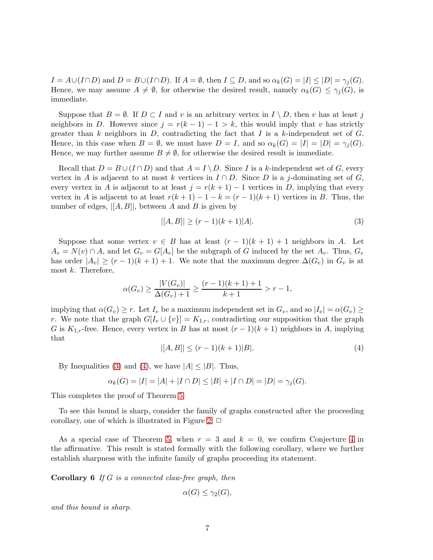$I = A \cup (I \cap D)$  and  $D = B \cup (I \cap D)$ . If  $A = \emptyset$ , then  $I \subseteq D$ , and so  $\alpha_k(G) = |I| \leq |D| = \gamma_i(G)$ . Hence, we may assume  $A \neq \emptyset$ , for otherwise the desired result, namely  $\alpha_k(G) \leq \gamma_i(G)$ , is immediate.

Suppose that  $B = \emptyset$ . If  $D \subset I$  and v is an arbitrary vertex in  $I \setminus D$ , then v has at least j neighbors in D. However since  $j = r(k-1) - 1 > k$ , this would imply that v has strictly greater than k neighbors in D, contradicting the fact that I is a k-independent set of  $G$ . Hence, in this case when  $B = \emptyset$ , we must have  $D = I$ , and so  $\alpha_k(G) = |I| = |D| = \gamma_i(G)$ . Hence, we may further assume  $B \neq \emptyset$ , for otherwise the desired result is immediate.

Recall that  $D = B \cup (I \cap D)$  and that  $A = I \setminus D$ . Since I is a k-independent set of G, every vertex in A is adjacent to at most k vertices in  $I \cap D$ . Since D is a j-dominating set of G, every vertex in A is adjacent to at least  $j = r(k + 1) - 1$  vertices in D, implying that every vertex in A is adjacent to at least  $r(k+1) - 1 - k = (r-1)(k+1)$  vertices in B. Thus, the number of edges,  $|[A, B]|$ , between A and B is given by

<span id="page-6-0"></span>
$$
|[A,B]| \ge (r-1)(k+1)|A|. \tag{3}
$$

Suppose that some vertex  $v \in B$  has at least  $(r-1)(k+1) + 1$  neighbors in A. Let  $A_v = N(v) \cap A$ , and let  $G_v = G[A_v]$  be the subgraph of G induced by the set  $A_v$ . Thus,  $G_v$ has order  $|A_v| \ge (r-1)(k+1) + 1$ . We note that the maximum degree  $\Delta(G_v)$  in  $G_v$  is at most  $k$ . Therefore,

$$
\alpha(G_v) \ge \frac{|V(G_v)|}{\Delta(G_v) + 1} \ge \frac{(r-1)(k+1) + 1}{k+1} > r - 1,
$$

implying that  $\alpha(G_v) \geq r$ . Let  $I_v$  be a maximum independent set in  $G_v$ , and so  $|I_v| = \alpha(G_v) \geq$ r. We note that the graph  $G[I_v \cup \{v\}] = K_{1,r}$ , contradicting our supposition that the graph G is  $K_{1,r}$ -free. Hence, every vertex in B has at most  $(r-1)(k+1)$  neighbors in A, implying that

$$
|[A,B]| \le (r-1)(k+1)|B|. \tag{4}
$$

<span id="page-6-1"></span>By Inequalities [\(3\)](#page-6-0) and [\(4\)](#page-6-1), we have  $|A| \leq |B|$ . Thus,

$$
\alpha_k(G) = |I| = |A| + |I \cap D| \le |B| + |I \cap D| = |D| = \gamma_j(G).
$$

This completes the proof of Theorem [5.](#page-5-2)

To see this bound is sharp, consider the family of graphs constructed after the proceeding corollary, one of which is illustrated in Figure [2.](#page-7-0)  $\Box$ 

As a special case of Theorem [5,](#page-5-2) when  $r = 3$  and  $k = 0$ , we confirm Conjecture [4](#page-5-1) in the affirmative. This result is stated formally with the following corollary, where we further establish sharpness with the infinite family of graphs proceeding its statement.

**Corollary 6** If  $G$  is a connected claw-free graph, then

<span id="page-6-2"></span>
$$
\alpha(G) \le \gamma_2(G),
$$

and this bound is sharp.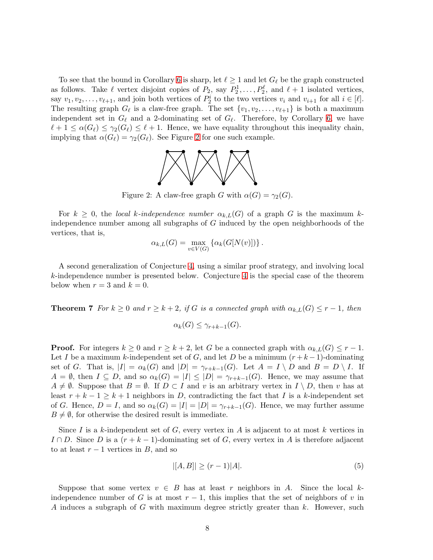<span id="page-7-0"></span>To see that the bound in Corollary [6](#page-6-2) is sharp, let  $\ell \geq 1$  and let  $G_{\ell}$  be the graph constructed as follows. Take  $\ell$  vertex disjoint copies of  $P_2$ , say  $P_2^1, \ldots, P_2^{\ell}$ , and  $\ell + 1$  isolated vertices, say  $v_1, v_2, \ldots, v_{\ell+1}$ , and join both vertices of  $P_2^i$  to the two vertices  $v_i$  and  $v_{i+1}$  for all  $i \in [\ell]$ . The resulting graph  $G_{\ell}$  is a claw-free graph. The set  $\{v_1, v_2, \ldots, v_{\ell+1}\}$  is both a maximum independent set in  $G_{\ell}$  and a 2-dominating set of  $G_{\ell}$ . Therefore, by Corollary [6,](#page-6-2) we have  $\ell + 1 \leq \alpha(G_{\ell}) \leq \gamma_2(G_{\ell}) \leq \ell + 1$ . Hence, we have equality throughout this inequality chain, implying that  $\alpha(G_{\ell}) = \gamma_2(G_{\ell})$ . See Figure [2](#page-7-0) for one such example.



Figure 2: A claw-free graph G with  $\alpha(G) = \gamma_2(G)$ .

For  $k \geq 0$ , the local k-independence number  $\alpha_{k,L}(G)$  of a graph G is the maximum kindependence number among all subgraphs of G induced by the open neighborhoods of the vertices, that is,

$$
\alpha_{k,L}(G) = \max_{v \in V(G)} \left\{ \alpha_k(G[N(v)]) \right\}.
$$

<span id="page-7-2"></span>A second generalization of Conjecture [4,](#page-5-1) using a similar proof strategy, and involving local k-independence number is presented below. Conjecture [4](#page-5-1) is the special case of the theorem below when  $r = 3$  and  $k = 0$ .

**Theorem 7** For  $k \geq 0$  and  $r \geq k+2$ , if G is a connected graph with  $\alpha_{k,L}(G) \leq r-1$ , then

$$
\alpha_k(G) \leq \gamma_{r+k-1}(G).
$$

**Proof.** For integers  $k \geq 0$  and  $r \geq k+2$ , let G be a connected graph with  $\alpha_{k,L}(G) \leq r-1$ . Let I be a maximum k-independent set of G, and let D be a minimum  $(r+k-1)$ -dominating set of G. That is,  $|I| = \alpha_k(G)$  and  $|D| = \gamma_{r+k-1}(G)$ . Let  $A = I \setminus D$  and  $B = D \setminus I$ . If  $A = \emptyset$ , then  $I \subseteq D$ , and so  $\alpha_k(G) = |I| \leq |D| = \gamma_{r+k-1}(G)$ . Hence, we may assume that  $A \neq \emptyset$ . Suppose that  $B = \emptyset$ . If  $D \subset I$  and v is an arbitrary vertex in  $I \setminus D$ , then v has at least  $r + k - 1 \geq k + 1$  neighbors in D, contradicting the fact that I is a k-independent set of G. Hence,  $D = I$ , and so  $\alpha_k(G) = |I| = |D| = \gamma_{r+k-1}(G)$ . Hence, we may further assume  $B \neq \emptyset$ , for otherwise the desired result is immediate.

Since I is a k-independent set of G, every vertex in A is adjacent to at most k vertices in I ∩ D. Since D is a  $(r+k-1)$ -dominating set of G, every vertex in A is therefore adjacent to at least  $r - 1$  vertices in B, and so

<span id="page-7-1"></span>
$$
|[A,B]| \ge (r-1)|A|.
$$
 (5)

Suppose that some vertex  $v \in B$  has at least r neighbors in A. Since the local kindependence number of G is at most  $r-1$ , this implies that the set of neighbors of v in A induces a subgraph of G with maximum degree strictly greater than k. However, such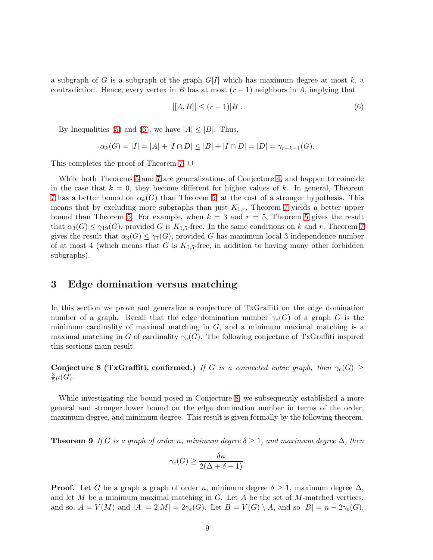a subgraph of G is a subgraph of the graph  $G[I]$  which has maximum degree at most k, a contradiction. Hence, every vertex in B has at most  $(r-1)$  neighbors in A, implying that

<span id="page-8-0"></span>
$$
|[A,B]| \le (r-1)|B|.\tag{6}
$$

By Inequalities [\(5\)](#page-7-1) and [\(6\)](#page-8-0), we have  $|A| \leq |B|$ . Thus,

$$
\alpha_k(G) = |I| = |A| + |I \cap D| \le |B| + |I \cap D| = |D| = \gamma_{r+k-1}(G).
$$

This completes the proof of Theorem [7.](#page-7-2)  $\Box$ 

While both Theorems [5](#page-5-2) and [7](#page-7-2) are generalizations of Conjecture [4,](#page-5-1) and happen to coincide in the case that  $k = 0$ , they become different for higher values of k. In general, Theorem [7](#page-7-2) has a better bound on  $\alpha_k(G)$  than Theorem [5,](#page-5-2) at the cost of a stronger hypothesis. This means that by excluding more subgraphs than just  $K_{1,r}$ , Theorem [7](#page-7-2) yields a better upper bound than Theorem [5.](#page-5-2) For example, when  $k = 3$  and  $r = 5$  $r = 5$ , Theorem 5 gives the result that  $\alpha_3(G) \le \gamma_{19}(G)$ , provided G is  $K_{1,5}$ -free. In the same conditions on k and r, Theorem [7](#page-7-2) gives the result that  $\alpha_3(G) \leq \gamma_7(G)$ , provided G has maximum local 3-independence number of at most 4 (which means that G is  $K_{1,5}$ -free, in addition to having many other forbidden subgraphs).

#### 3 Edge domination versus matching

In this section we prove and generalize a conjecture of TxGraffiti on the edge domination number of a graph. Recall that the edge domination number  $\gamma_e(G)$  of a graph G is the minimum cardinality of maximal matching in  $G$ , and a minimum maximal matching is a maximal matching in G of cardinality  $\gamma_e(G)$ . The following conjecture of TxGraffiti inspired this sections main result.

<span id="page-8-1"></span>Conjecture 8 (TxGraffiti, confirmed.) If G is a connected cubic graph, then  $\gamma_e(G) \geq$ 3  $\frac{3}{5}\mu(G).$ 

<span id="page-8-2"></span>While investigating the bound posed in Conjecture [8,](#page-8-1) we subsequently established a more general and stronger lower bound on the edge domination number in terms of the order, maximum degree, and minimum degree. This result is given formally by the following theorem.

**Theorem 9** If G is a graph of order n, minimum degree  $\delta \geq 1$ , and maximum degree  $\Delta$ , then

$$
\gamma_e(G) \ge \frac{\delta n}{2(\Delta + \delta - 1)}.
$$

**Proof.** Let G be a graph a graph of order n, minimum degree  $\delta \geq 1$ , maximum degree  $\Delta$ , and let  $M$  be a minimum maximal matching in  $G$ . Let  $A$  be the set of  $M$ -matched vertices, and so,  $A = V(M)$  and  $|A| = 2|M| = 2\gamma_e(G)$ . Let  $B = V(G) \setminus A$ , and so  $|B| = n - 2\gamma_e(G)$ .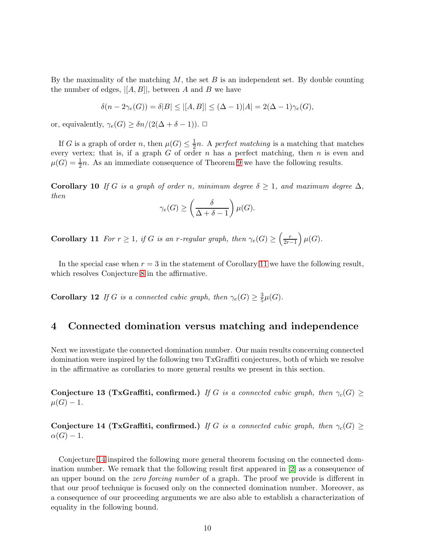By the maximality of the matching  $M$ , the set  $B$  is an independent set. By double counting the number of edges,  $|[A, B]|$ , between A and B we have

$$
\delta(n-2\gamma_e(G)) = \delta|B| \le |[A,B]| \le (\Delta - 1)|A| = 2(\Delta - 1)\gamma_e(G),
$$

or, equivalently,  $\gamma_e(G) \geq \delta n/(2(\Delta + \delta - 1)).$ 

If G is a graph of order n, then  $\mu(G) \leq \frac{1}{2}$  $\frac{1}{2}n$ . A perfect matching is a matching that matches every vertex; that is, if a graph  $G$  of order  $n$  has a perfect matching, then  $n$  is even and  $\mu(G) = \frac{1}{2}n$ . As an immediate consequence of Theorem [9](#page-8-2) we have the following results.

**Corollary 10** If G is a graph of order n, minimum degree  $\delta \geq 1$ , and maximum degree  $\Delta$ , then

$$
\gamma_e(G) \ge \left(\frac{\delta}{\Delta + \delta - 1}\right) \mu(G).
$$

<span id="page-9-0"></span>**Corollary 11** For  $r \geq 1$ , if G is an r-regular graph, then  $\gamma_e(G) \geq \left(\frac{r}{2r-1}\right) \mu(G)$ .

In the special case when  $r = 3$  in the statement of Corollary [11](#page-9-0) we have the following result, which resolves Conjecture [8](#page-8-1) in the affirmative.

**Corollary 12** If G is a connected cubic graph, then  $\gamma_e(G) \geq \frac{3}{5}$  $\frac{3}{5}\mu(G)$ .

#### 4 Connected domination versus matching and independence

<span id="page-9-2"></span>Next we investigate the connected domination number. Our main results concerning connected domination were inspired by the following two TxGraffiti conjectures, both of which we resolve in the affirmative as corollaries to more general results we present in this section.

Conjecture 13 (TxGraffiti, confirmed.) If G is a connected cubic graph, then  $\gamma_c(G) \geq$  $\mu(G) - 1.$ 

<span id="page-9-1"></span>Conjecture 14 (TxGraffiti, confirmed.) If G is a connected cubic graph, then  $\gamma_c(G) \geq$  $\alpha(G) - 1.$ 

Conjecture [14](#page-9-1) inspired the following more general theorem focusing on the connected domination number. We remark that the following result first appeared in [\[2\]](#page-13-14) as a consequence of an upper bound on the zero forcing number of a graph. The proof we provide is different in that our proof technique is focused only on the connected domination number. Moreover, as a consequence of our proceeding arguments we are also able to establish a characterization of equality in the following bound.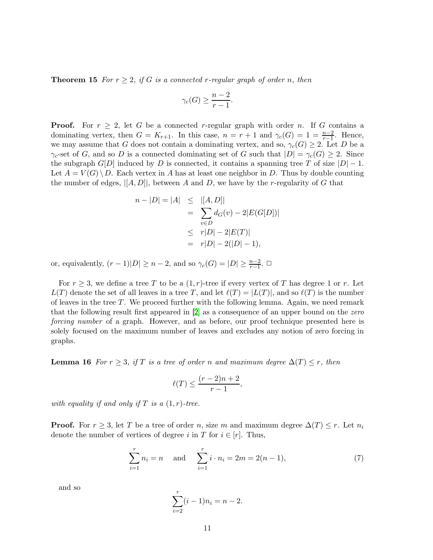**Theorem 15** For  $r \geq 2$ , if G is a connected r-regular graph of order n, then

$$
\gamma_c(G) \ge \frac{n-2}{r-1}.
$$

**Proof.** For  $r \geq 2$ , let G be a connected r-regular graph with order n. If G contains a dominating vertex, then  $G = K_{r+1}$ . In this case,  $n = r + 1$  and  $\gamma_c(G) = 1 = \frac{n-2}{r-1}$ . Hence, we may assume that G does not contain a dominating vertex, and so,  $\gamma_c(G) \geq 2$ . Let D be a  $\gamma_c$ -set of G, and so D is a connected dominating set of G such that  $|D| = \gamma_c(G) \geq 2$ . Since the subgraph  $G[D]$  induced by D is connected, it contains a spanning tree T of size  $|D|-1$ . Let  $A = V(G) \backslash D$ . Each vertex in A has at least one neighbor in D. Thus by double counting the number of edges,  $\|[A, D]\|$ , between A and D, we have by the r-regularity of G that

$$
n - |D| = |A| \le |[A, D]|
$$
  
=  $\sum_{v \in D} d_G(v) - 2|E(G[D])|$   
 $\le r|D| - 2|E(T)|$   
=  $r|D| - 2(|D| - 1),$ 

or, equivalently,  $(r-1)|D| \geq n-2$ , and so  $\gamma_c(G) = |D| \geq \frac{n-2}{r-1}$ .  $\Box$ 

For  $r \geq 3$ , we define a tree T to be a  $(1, r)$ -tree if every vertex of T has degree 1 or r. Let  $L(T)$  denote the set of all leaves in a tree T, and let  $\ell(T) = |L(T)|$ , and so  $\ell(T)$  is the number of leaves in the tree  $T$ . We proceed further with the following lemma. Again, we need remark that the following result first appeared in [\[2\]](#page-13-14) as a consequence of an upper bound on the zero forcing number of a graph. However, and as before, our proof technique presented here is solely focused on the maximum number of leaves and excludes any notion of zero forcing in graphs.

<span id="page-10-1"></span>**Lemma 16** For  $r \geq 3$ , if T is a tree of order n and maximum degree  $\Delta(T) \leq r$ , then

<span id="page-10-0"></span>
$$
\ell(T) \le \frac{(r-2)n+2}{r-1},
$$

with equality if and only if T is a  $(1,r)$ -tree.

**Proof.** For  $r \geq 3$ , let T be a tree of order n, size m and maximum degree  $\Delta(T) \leq r$ . Let  $n_i$ denote the number of vertices of degree i in T for  $i \in [r]$ . Thus,

$$
\sum_{i=1}^{r} n_i = n \quad \text{and} \quad \sum_{i=1}^{r} i \cdot n_i = 2m = 2(n-1), \tag{7}
$$

and so

$$
\sum_{i=2}^{r} (i-1)n_i = n-2.
$$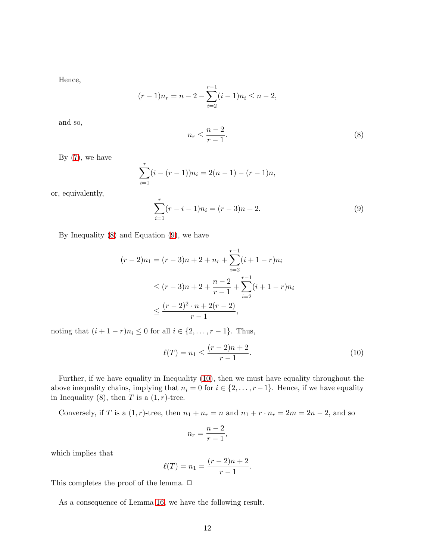Hence,

$$
(r-1)n_r = n-2 - \sum_{i=2}^{r-1} (i-1)n_i \le n-2,
$$

<span id="page-11-0"></span>and so,

$$
n_r \le \frac{n-2}{r-1}.\tag{8}
$$

By  $(7)$ , we have

<span id="page-11-1"></span>
$$
\sum_{i=1}^{r} (i - (r - 1))n_i = 2(n - 1) - (r - 1)n,
$$

or, equivalently,

$$
\sum_{i=1}^{r} (r - i - 1)n_i = (r - 3)n + 2.
$$
\n(9)

By Inequality [\(8\)](#page-11-0) and Equation [\(9\)](#page-11-1), we have

$$
(r-2)n_1 = (r-3)n + 2 + n_r + \sum_{i=2}^{r-1} (i+1-r)n_i
$$
  
\n
$$
\leq (r-3)n + 2 + \frac{n-2}{r-1} + \sum_{i=2}^{r-1} (i+1-r)n_i
$$
  
\n
$$
\leq \frac{(r-2)^2 \cdot n + 2(r-2)}{r-1},
$$

noting that  $(i + 1 - r)n_i ≤ 0$  for all  $i ∈ \{2, ..., r - 1\}$ . Thus,

<span id="page-11-2"></span>
$$
\ell(T) = n_1 \le \frac{(r-2)n + 2}{r-1}.\tag{10}
$$

Further, if we have equality in Inequality [\(10\)](#page-11-2), then we must have equality throughout the above inequality chains, implying that  $n_i = 0$  for  $i \in \{2, \ldots, r-1\}$ . Hence, if we have equality in Inequality (8), then  $T$  is a  $(1, r)$ -tree.

Conversely, if T is a  $(1,r)$ -tree, then  $n_1 + n_r = n$  and  $n_1 + r \cdot n_r = 2m = 2n - 2$ , and so

$$
n_r = \frac{n-2}{r-1},
$$

which implies that

$$
\ell(T) = n_1 = \frac{(r-2)n + 2}{r-1}.
$$

This completes the proof of the lemma.  $\Box$ 

<span id="page-11-3"></span>As a consequence of Lemma [16,](#page-10-1) we have the following result.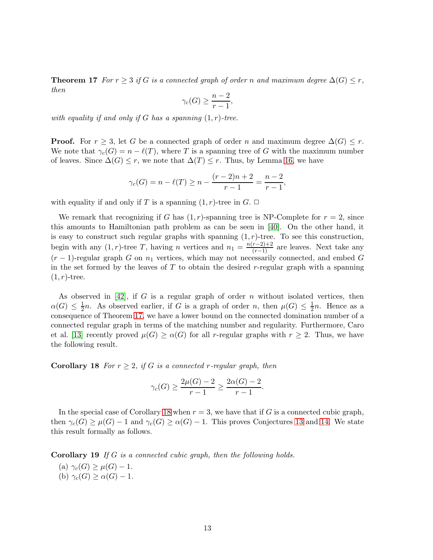**Theorem 17** For  $r \geq 3$  if G is a connected graph of order n and maximum degree  $\Delta(G) \leq r$ , then

$$
\gamma_c(G) \ge \frac{n-2}{r-1},
$$

with equality if and only if G has a spanning  $(1,r)$ -tree.

**Proof.** For  $r \geq 3$ , let G be a connected graph of order n and maximum degree  $\Delta(G) \leq r$ . We note that  $\gamma_c(G) = n - \ell(T)$ , where T is a spanning tree of G with the maximum number of leaves. Since  $\Delta(G) \leq r$ , we note that  $\Delta(T) \leq r$ . Thus, by Lemma [16,](#page-10-1) we have

$$
\gamma_c(G) = n - \ell(T) \ge n - \frac{(r-2)n + 2}{r-1} = \frac{n-2}{r-1},
$$

with equality if and only if T is a spanning  $(1, r)$ -tree in G.  $\Box$ 

We remark that recognizing if G has  $(1, r)$ -spanning tree is NP-Complete for  $r = 2$ , since this amounts to Hamiltonian path problem as can be seen in [\[40\]](#page-15-9). On the other hand, it is easy to construct such regular graphs with spanning  $(1, r)$ -tree. To see this construction, begin with any  $(1, r)$ -tree T, having n vertices and  $n_1 = \frac{n(r-2)+2}{(r-1)}$  are leaves. Next take any  $(r-1)$ -regular graph G on  $n_1$  vertices, which may not necessarily connected, and embed G in the set formed by the leaves of  $T$  to obtain the desired r-regular graph with a spanning  $(1, r)$ -tree.

As observed in  $[42]$ , if G is a regular graph of order n without isolated vertices, then  $\alpha(G) \leq \frac{1}{2}$  $\frac{1}{2}n$ . As observed earlier, if G is a graph of order n, then  $\mu(G) \leq \frac{1}{2}$  $\frac{1}{2}n$ . Hence as a consequence of Theorem [17,](#page-11-3) we have a lower bound on the connected domination number of a connected regular graph in terms of the matching number and regularity. Furthermore, Caro et al. [\[13\]](#page-13-5) recently proved  $\mu(G) \ge \alpha(G)$  for all r-regular graphs with  $r \ge 2$ . Thus, we have the following result.

**Corollary 18** For  $r \geq 2$ , if G is a connected r-regular graph, then

<span id="page-12-0"></span>
$$
\gamma_c(G) \ge \frac{2\mu(G) - 2}{r - 1} \ge \frac{2\alpha(G) - 2}{r - 1}.
$$

In the special case of Corollary [18](#page-12-0) when  $r = 3$ , we have that if G is a connected cubic graph, then  $\gamma_c(G) \geq \mu(G) - 1$  and  $\gamma_c(G) \geq \alpha(G) - 1$ . This proves Conjectures [13](#page-9-2) and [14.](#page-9-1) We state this result formally as follows.

Corollary 19 If G is a connected cubic graph, then the following holds.

(a)  $\gamma_c(G) \geq \mu(G) - 1$ . (b)  $\gamma_c(G) \geq \alpha(G) - 1$ .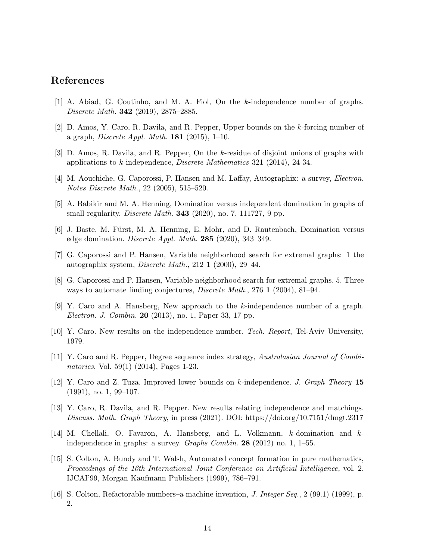## <span id="page-13-8"></span>References

- <span id="page-13-14"></span>[1] A. Abiad, G. Coutinho, and M. A. Fiol, On the k-independence number of graphs. Discrete Math. 342 (2019), 2875–2885.
- <span id="page-13-9"></span>[2] D. Amos, Y. Caro, R. Davila, and R. Pepper, Upper bounds on the k-forcing number of a graph, Discrete Appl. Math. 181 (2015), 1–10.
- <span id="page-13-4"></span>[3] D. Amos, R. Davila, and R. Pepper, On the k-residue of disjoint unions of graphs with applications to k-independence, Discrete Mathematics 321 (2014), 24-34.
- [4] M. Aouchiche, G. Caporossi, P. Hansen and M. Laffay, Autographix: a survey, Electron. Notes Discrete Math., 22 (2005), 515–520.
- <span id="page-13-6"></span>[5] A. Babikir and M. A. Henning, Domination versus independent domination in graphs of small regularity. *Discrete Math.* **343** (2020), no. 7, 111727, 9 pp.
- <span id="page-13-2"></span>[6] J. Baste, M. Fürst, M. A. Henning, E. Mohr, and D. Rautenbach, Domination versus edge domination. *Discrete Appl. Math.* **285** (2020), 343-349.
- <span id="page-13-3"></span>[7] G. Caporossi and P. Hansen, Variable neighborhood search for extremal graphs: 1 the autographix system, Discrete Math., 212 1 (2000), 29–44.
- [8] G. Caporossi and P. Hansen, Variable neighborhood search for extremal graphs. 5. Three ways to automate finding conjectures, *Discrete Math.*, 276 1 (2004), 81–94.
- <span id="page-13-10"></span>[9] Y. Caro and A. Hansberg, New approach to the k-independence number of a graph. Electron. J. Combin. 20 (2013), no. 1, Paper 33, 17 pp.
- <span id="page-13-13"></span><span id="page-13-11"></span>[10] Y. Caro. New results on the independence number. Tech. Report, Tel-Aviv University, 1979.
- [11] Y. Caro and R. Pepper, Degree sequence index strategy, Australasian Journal of Combinatorics, Vol. 59(1) (2014), Pages 1-23.
- <span id="page-13-12"></span><span id="page-13-5"></span>[12] Y. Caro and Z. Tuza. Improved lower bounds on k-independence. J. Graph Theory 15 (1991), no. 1, 99–107.
- [13] Y. Caro, R. Davila, and R. Pepper. New results relating independence and matchings. Discuss. Math. Graph Theory, in press (2021). DOI: https://doi.org/10.7151/dmgt.2317
- <span id="page-13-7"></span>[14] M. Chellali, O. Favaron, A. Hansberg, and L. Volkmann, k-domination and kindependence in graphs: a survey. Graphs Combin. 28 (2012) no. 1, 1–55.
- <span id="page-13-0"></span>[15] S. Colton, A. Bundy and T. Walsh, Automated concept formation in pure mathematics, Proceedings of the 16th International Joint Conference on Artificial Intelligence, vol. 2, IJCAI'99, Morgan Kaufmann Publishers (1999), 786–791.
- <span id="page-13-1"></span>[16] S. Colton, Refactorable numbers–a machine invention, J. Integer Seq., 2 (99.1) (1999), p. 2.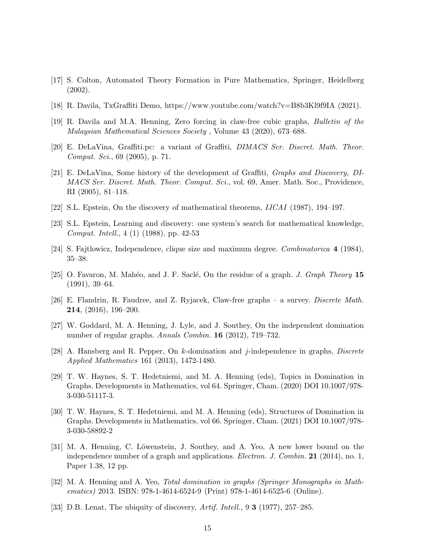- <span id="page-14-7"></span><span id="page-14-6"></span>[17] S. Colton, Automated Theory Formation in Pure Mathematics, Springer, Heidelberg (2002).
- <span id="page-14-8"></span>[18] R. Davila, TxGraffiti Demo, https://www.youtube.com/watch?v=B8b3Kl9f9IA (2021).
- <span id="page-14-2"></span>[19] R. Davila and M.A. Henning, Zero forcing in claw-free cubic graphs, Bulletin of the Malaysian Mathematical Sciences Society , Volume 43 (2020), 673–688.
- <span id="page-14-0"></span>[20] E. DeLaVina, Graffiti.pc: a variant of Graffiti, DIMACS Ser. Discret. Math. Theor. Comput. Sci., 69 (2005), p. 71.
- [21] E. DeLaVina, Some history of the development of Graffiti, Graphs and Discovery, DI-MACS Ser. Discret. Math. Theor. Comput. Sci., vol. 69, Amer. Math. Soc., Providence, RI (2005), 81–118.
- <span id="page-14-5"></span><span id="page-14-4"></span>[22] S.L. Epstein, On the discovery of mathematical theorems, IJCAI (1987), 194–197.
- <span id="page-14-11"></span>[23] S.L. Epstein, Learning and discovery: one system's search for mathematical knowledge, Comput. Intell., 4 (1) (1988), pp. 42-53
- <span id="page-14-1"></span>[24] S. Fajtlowicz, Independence, clique size and maximum degree. Combinatorica 4 (1984), 35–38.
- <span id="page-14-10"></span>[25] O. Favaron, M. Mahéo, and J. F. Saclé, On the residue of a graph. J. Graph Theory  $15$ (1991), 39–64.
- [26] E. Flandrin, R. Faudree, and Z. Ryjacek, Claw-free graphs a survey. Discrete Math. 214, (2016), 196–200.
- <span id="page-14-15"></span>[27] W. Goddard, M. A. Henning, J. Lyle, and J. Southey, On the independent domination number of regular graphs. Annals Combin. **16** (2012), 719–732.
- [28] A. Hansberg and R. Pepper, On k-domination and j-independence in graphs, Discrete Applied Mathematics 161 (2013), 1472-1480.
- <span id="page-14-13"></span>[29] T. W. Haynes, S. T. Hedetniemi, and M. A. Henning (eds), Topics in Domination in Graphs. Developments in Mathematics, vol 64. Springer, Cham. (2020) DOI 10.1007/978- 3-030-51117-3.
- <span id="page-14-14"></span>[30] T. W. Haynes, S. T. Hedetniemi, and M. A. Henning (eds), Structures of Domination in Graphs. Developments in Mathematics, vol 66. Springer, Cham. (2021) DOI 10.1007/978- 3-030-58892-2
- <span id="page-14-12"></span>[31] M. A. Henning, C. Löwenstein, J. Southey, and A. Yeo, A new lower bound on the independence number of a graph and applications. *Electron. J. Combin.* 21 (2014), no. 1, Paper 1.38, 12 pp.
- <span id="page-14-9"></span>[32] M. A. Henning and A. Yeo, Total domination in graphs (Springer Monographs in Mathematics) 2013. ISBN: 978-1-4614-6524-9 (Print) 978-1-4614-6525-6 (Online).
- <span id="page-14-3"></span>[33] D.B. Lenat, The ubiquity of discovery, Artif. Intell., 9 3 (1977), 257–285.